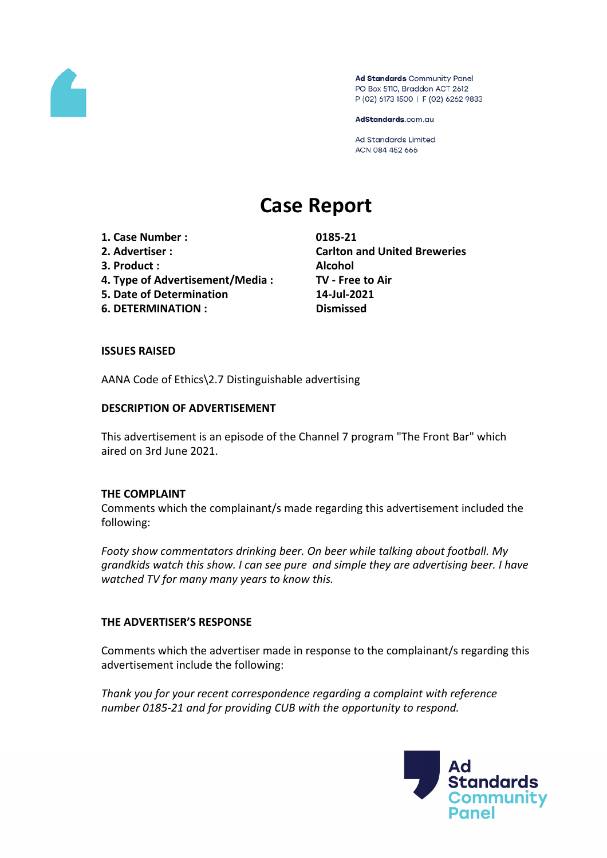

Ad Standards Community Panel PO Box 5110, Braddon ACT 2612 P (02) 6173 1500 | F (02) 6262 9833

AdStandards.com.au

Ad Standards Limited ACN 084 452 666

# **Case Report**

- **1. Case Number : 0185-21**
- 
- **3. Product : Alcohol**
- **4. Type of Advertisement/Media : TV - Free to Air**
- **5. Date of Determination 14-Jul-2021**
- **6. DETERMINATION : Dismissed**

**2. Advertiser : Carlton and United Breweries**

## **ISSUES RAISED**

AANA Code of Ethics\2.7 Distinguishable advertising

## **DESCRIPTION OF ADVERTISEMENT**

This advertisement is an episode of the Channel 7 program "The Front Bar" which aired on 3rd June 2021.

#### **THE COMPLAINT**

Comments which the complainant/s made regarding this advertisement included the following:

*Footy show commentators drinking beer. On beer while talking about football. My grandkids watch this show. I can see pure and simple they are advertising beer. I have watched TV for many many years to know this.*

## **THE ADVERTISER'S RESPONSE**

Comments which the advertiser made in response to the complainant/s regarding this advertisement include the following:

*Thank you for your recent correspondence regarding a complaint with reference number 0185-21 and for providing CUB with the opportunity to respond.*

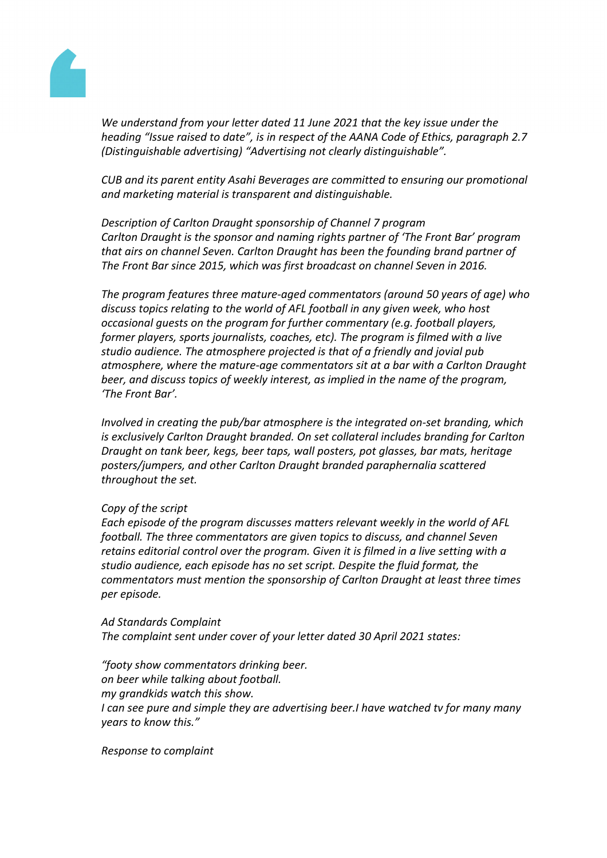

*We understand from your letter dated 11 June 2021 that the key issue under the heading "Issue raised to date", is in respect of the AANA Code of Ethics, paragraph 2.7 (Distinguishable advertising) "Advertising not clearly distinguishable".*

*CUB and its parent entity Asahi Beverages are committed to ensuring our promotional and marketing material is transparent and distinguishable.* 

*Description of Carlton Draught sponsorship of Channel 7 program Carlton Draught is the sponsor and naming rights partner of 'The Front Bar' program that airs on channel Seven. Carlton Draught has been the founding brand partner of The Front Bar since 2015, which was first broadcast on channel Seven in 2016.*

*The program features three mature-aged commentators (around 50 years of age) who discuss topics relating to the world of AFL football in any given week, who host occasional guests on the program for further commentary (e.g. football players, former players, sports journalists, coaches, etc). The program is filmed with a live studio audience. The atmosphere projected is that of a friendly and jovial pub atmosphere, where the mature-age commentators sit at a bar with a Carlton Draught beer, and discuss topics of weekly interest, as implied in the name of the program, 'The Front Bar'.*

*Involved in creating the pub/bar atmosphere is the integrated on-set branding, which is exclusively Carlton Draught branded. On set collateral includes branding for Carlton Draught on tank beer, kegs, beer taps, wall posters, pot glasses, bar mats, heritage posters/jumpers, and other Carlton Draught branded paraphernalia scattered throughout the set.* 

#### *Copy of the script*

*Each episode of the program discusses matters relevant weekly in the world of AFL football. The three commentators are given topics to discuss, and channel Seven retains editorial control over the program. Given it is filmed in a live setting with a studio audience, each episode has no set script. Despite the fluid format, the commentators must mention the sponsorship of Carlton Draught at least three times per episode.*

*Ad Standards Complaint The complaint sent under cover of your letter dated 30 April 2021 states:*

*"footy show commentators drinking beer. on beer while talking about football. my grandkids watch this show. I can see pure and simple they are advertising beer.I have watched tv for many many years to know this."*

*Response to complaint*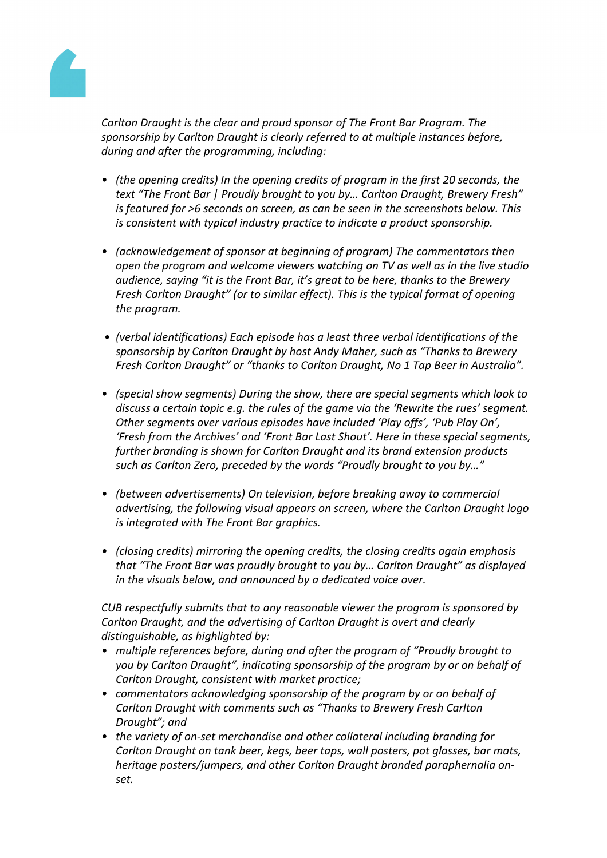

*Carlton Draught is the clear and proud sponsor of The Front Bar Program. The sponsorship by Carlton Draught is clearly referred to at multiple instances before, during and after the programming, including:*

- *• (the opening credits) In the opening credits of program in the first 20 seconds, the text "The Front Bar | Proudly brought to you by… Carlton Draught, Brewery Fresh" is featured for >6 seconds on screen, as can be seen in the screenshots below. This is consistent with typical industry practice to indicate a product sponsorship.*
- *• (acknowledgement of sponsor at beginning of program) The commentators then open the program and welcome viewers watching on TV as well as in the live studio audience, saying "it is the Front Bar, it's great to be here, thanks to the Brewery Fresh Carlton Draught" (or to similar effect). This is the typical format of opening the program.*
- *• (verbal identifications) Each episode has a least three verbal identifications of the sponsorship by Carlton Draught by host Andy Maher, such as "Thanks to Brewery Fresh Carlton Draught" or "thanks to Carlton Draught, No 1 Tap Beer in Australia".*
- *• (special show segments) During the show, there are special segments which look to discuss a certain topic e.g. the rules of the game via the 'Rewrite the rues' segment. Other segments over various episodes have included 'Play offs', 'Pub Play On', 'Fresh from the Archives' and 'Front Bar Last Shout'. Here in these special segments, further branding is shown for Carlton Draught and its brand extension products such as Carlton Zero, preceded by the words "Proudly brought to you by…"*
- *• (between advertisements) On television, before breaking away to commercial advertising, the following visual appears on screen, where the Carlton Draught logo is integrated with The Front Bar graphics.*
- *• (closing credits) mirroring the opening credits, the closing credits again emphasis that "The Front Bar was proudly brought to you by… Carlton Draught" as displayed in the visuals below, and announced by a dedicated voice over.*

*CUB respectfully submits that to any reasonable viewer the program is sponsored by Carlton Draught, and the advertising of Carlton Draught is overt and clearly distinguishable, as highlighted by:*

- *• multiple references before, during and after the program of "Proudly brought to you by Carlton Draught", indicating sponsorship of the program by or on behalf of Carlton Draught, consistent with market practice;*
- *• commentators acknowledging sponsorship of the program by or on behalf of Carlton Draught with comments such as "Thanks to Brewery Fresh Carlton Draught"; and*
- *• the variety of on-set merchandise and other collateral including branding for Carlton Draught on tank beer, kegs, beer taps, wall posters, pot glasses, bar mats, heritage posters/jumpers, and other Carlton Draught branded paraphernalia onset.*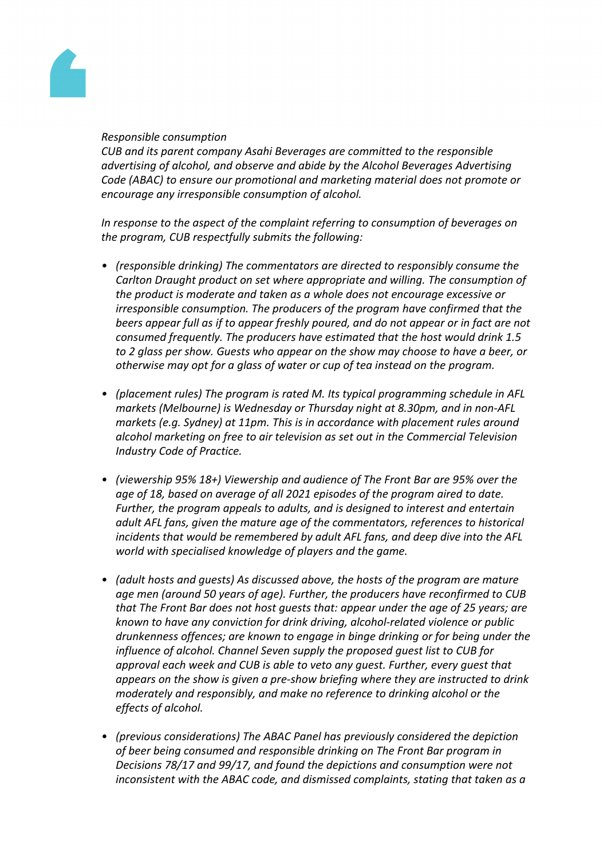

#### *Responsible consumption*

*CUB and its parent company Asahi Beverages are committed to the responsible advertising of alcohol, and observe and abide by the Alcohol Beverages Advertising Code (ABAC) to ensure our promotional and marketing material does not promote or encourage any irresponsible consumption of alcohol.*

*In response to the aspect of the complaint referring to consumption of beverages on the program, CUB respectfully submits the following:*

- *• (responsible drinking) The commentators are directed to responsibly consume the Carlton Draught product on set where appropriate and willing. The consumption of the product is moderate and taken as a whole does not encourage excessive or irresponsible consumption. The producers of the program have confirmed that the beers appear full as if to appear freshly poured, and do not appear or in fact are not consumed frequently. The producers have estimated that the host would drink 1.5 to 2 glass per show. Guests who appear on the show may choose to have a beer, or otherwise may opt for a glass of water or cup of tea instead on the program.*
- *• (placement rules) The program is rated M. Its typical programming schedule in AFL markets (Melbourne) is Wednesday or Thursday night at 8.30pm, and in non-AFL markets (e.g. Sydney) at 11pm. This is in accordance with placement rules around alcohol marketing on free to air television as set out in the Commercial Television Industry Code of Practice.*
- *• (viewership 95% 18+) Viewership and audience of The Front Bar are 95% over the age of 18, based on average of all 2021 episodes of the program aired to date. Further, the program appeals to adults, and is designed to interest and entertain adult AFL fans, given the mature age of the commentators, references to historical incidents that would be remembered by adult AFL fans, and deep dive into the AFL world with specialised knowledge of players and the game.*
- *• (adult hosts and guests) As discussed above, the hosts of the program are mature age men (around 50 years of age). Further, the producers have reconfirmed to CUB that The Front Bar does not host guests that: appear under the age of 25 years; are known to have any conviction for drink driving, alcohol-related violence or public drunkenness offences; are known to engage in binge drinking or for being under the influence of alcohol. Channel Seven supply the proposed guest list to CUB for approval each week and CUB is able to veto any guest. Further, every guest that appears on the show is given a pre-show briefing where they are instructed to drink moderately and responsibly, and make no reference to drinking alcohol or the effects of alcohol.*
- *• (previous considerations) The ABAC Panel has previously considered the depiction of beer being consumed and responsible drinking on The Front Bar program in Decisions 78/17 and 99/17, and found the depictions and consumption were not inconsistent with the ABAC code, and dismissed complaints, stating that taken as a*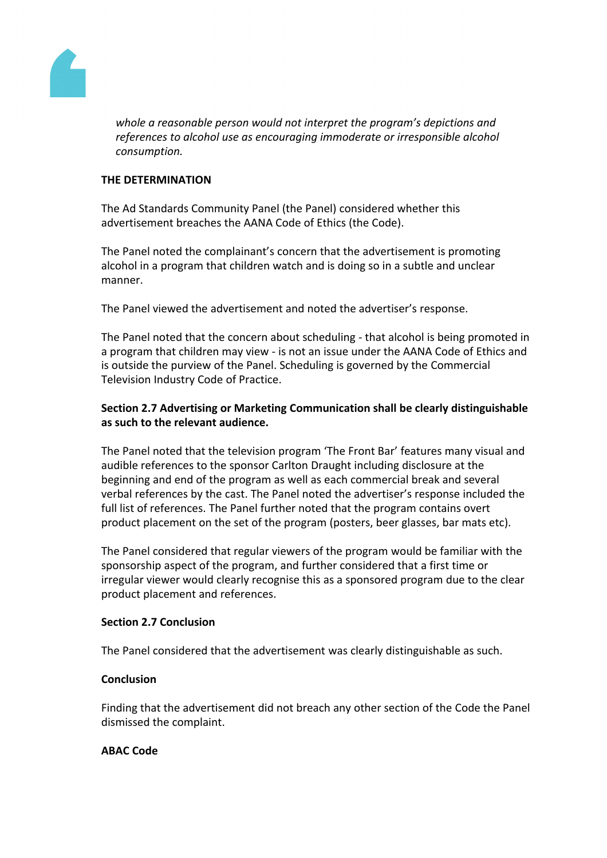

*whole a reasonable person would not interpret the program's depictions and references to alcohol use as encouraging immoderate or irresponsible alcohol consumption.* 

### **THE DETERMINATION**

The Ad Standards Community Panel (the Panel) considered whether this advertisement breaches the AANA Code of Ethics (the Code).

The Panel noted the complainant's concern that the advertisement is promoting alcohol in a program that children watch and is doing so in a subtle and unclear manner.

The Panel viewed the advertisement and noted the advertiser's response.

The Panel noted that the concern about scheduling - that alcohol is being promoted in a program that children may view - is not an issue under the AANA Code of Ethics and is outside the purview of the Panel. Scheduling is governed by the Commercial Television Industry Code of Practice.

## **Section 2.7 Advertising or Marketing Communication shall be clearly distinguishable as such to the relevant audience.**

The Panel noted that the television program 'The Front Bar' features many visual and audible references to the sponsor Carlton Draught including disclosure at the beginning and end of the program as well as each commercial break and several verbal references by the cast. The Panel noted the advertiser's response included the full list of references. The Panel further noted that the program contains overt product placement on the set of the program (posters, beer glasses, bar mats etc).

The Panel considered that regular viewers of the program would be familiar with the sponsorship aspect of the program, and further considered that a first time or irregular viewer would clearly recognise this as a sponsored program due to the clear product placement and references.

#### **Section 2.7 Conclusion**

The Panel considered that the advertisement was clearly distinguishable as such.

#### **Conclusion**

Finding that the advertisement did not breach any other section of the Code the Panel dismissed the complaint.

## **ABAC Code**